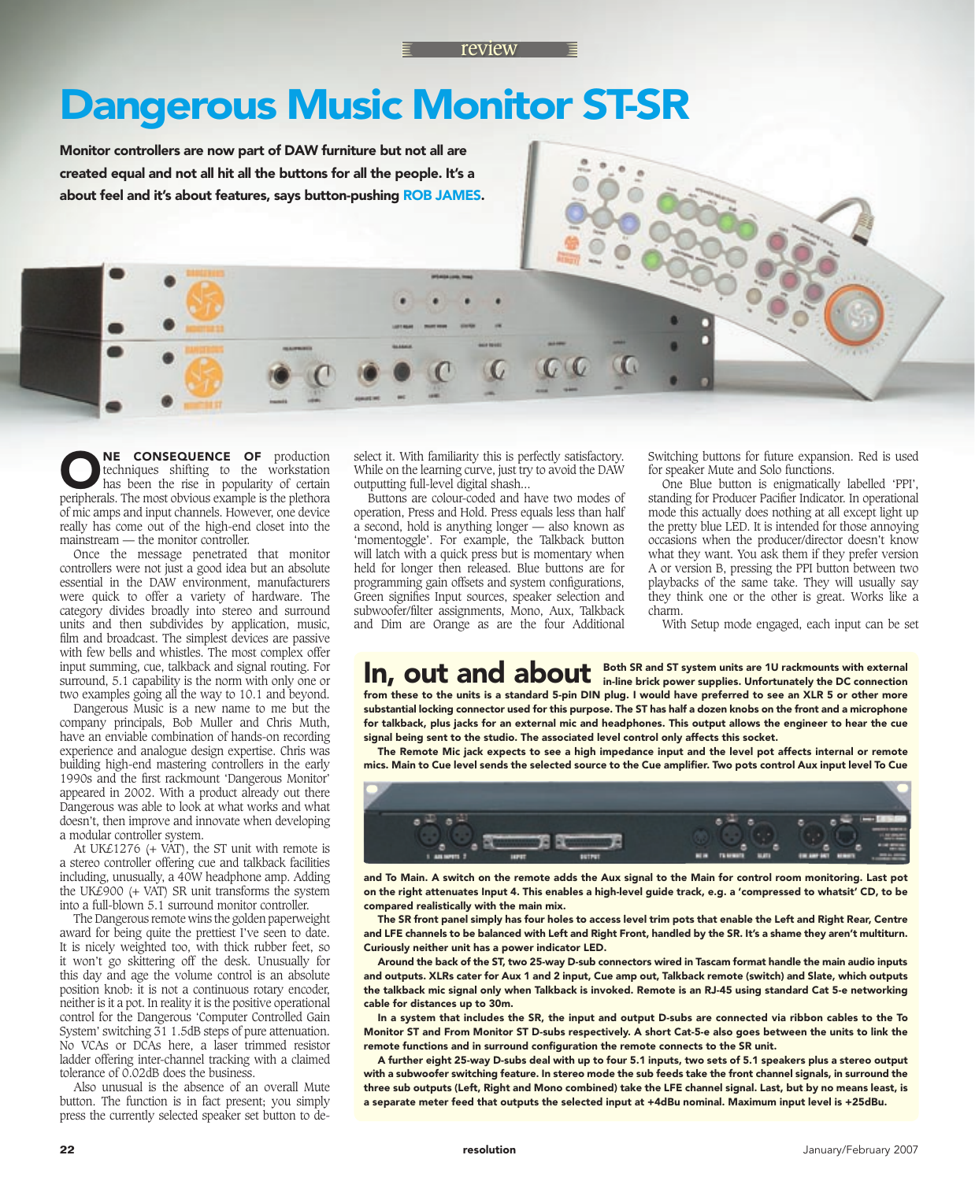## Dangerous Music Monitor ST-SR

Monitor controllers are now part of DAW furniture but not all are created equal and not all hit all the buttons for all the people. It's a about feel and it's about features, says button-pushing ROB JAMES.

**ONE CONSEQUENCE OF** production techniques shifting to the workstation has been the rise in popularity of certain peripherals. The most obvious example is the plethoral techniques shifting to the workstation has been the rise in popularity of certain peripherals. The most obvious example is the plethora of mic amps and input channels. However, one device really has come out of the high-end closet into the mainstream — the monitor controller.

Once the message penetrated that monitor controllers were not just a good idea but an absolute essential in the DAW environment, manufacturers were quick to offer a variety of hardware. The category divides broadly into stereo and surround units and then subdivides by application, music, film and broadcast. The simplest devices are passive with few bells and whistles. The most complex offer input summing, cue, talkback and signal routing. For surround, 5.1 capability is the norm with only one or two examples going all the way to 10.1 and beyond.

Dangerous Music is a new name to me but the company principals, Bob Muller and Chris Muth, have an enviable combination of hands-on recording experience and analogue design expertise. Chris was building high-end mastering controllers in the early 1990s and the first rackmount 'Dangerous Monitor' appeared in 2002. With a product already out there Dangerous was able to look at what works and what doesn't, then improve and innovate when developing a modular controller system.

At UK£1276 (+ VAT), the ST unit with remote is a stereo controller offering cue and talkback facilities including, unusually, a 40W headphone amp. Adding the UK£900 (+ VAT) SR unit transforms the system into a full-blown 5.1 surround monitor controller.

The Dangerous remote wins the golden paperweight award for being quite the prettiest I've seen to date. It is nicely weighted too, with thick rubber feet, so it won't go skittering off the desk. Unusually for this day and age the volume control is an absolute position knob: it is not a continuous rotary encoder, neither is it a pot. In reality it is the positive operational control for the Dangerous 'Computer Controlled Gain System' switching 31 1.5dB steps of pure attenuation. No VCAs or DCAs here, a laser trimmed resistor ladder offering inter-channel tracking with a claimed tolerance of 0.02dB does the business.

Also unusual is the absence of an overall Mute button. The function is in fact present; you simply press the currently selected speaker set button to de-

select it. With familiarity this is perfectly satisfactory. While on the learning curve, just try to avoid the DAW outputting full-level digital shash...

Buttons are colour-coded and have two modes of operation, Press and Hold. Press equals less than half a second, hold is anything longer — also known as 'momentoggle'. For example, the Talkback button will latch with a quick press but is momentary when held for longer then released. Blue buttons are for programming gain offsets and system configurations, Green signifies Input sources, speaker selection and subwoofer/filter assignments, Mono, Aux, Talkback and Dim are Orange as are the four Additional

Switching buttons for future expansion. Red is used for speaker Mute and Solo functions.

One Blue button is enigmatically labelled 'PPI', standing for Producer Pacifier Indicator. In operational mode this actually does nothing at all except light up the pretty blue LED. It is intended for those annoying occasions when the producer/director doesn't know what they want. You ask them if they prefer version A or version B, pressing the PPI button between two playbacks of the same take. They will usually say they think one or the other is great. Works like a charm.

With Setup mode engaged, each input can be set

## Both SR and ST system units are 1U rackmounts with external In, out and about **Both SR** and ST system units are 1U rackmounts with external

from these to the units is a standard 5-pin DIN plug. I would have preferred to see an XLR 5 or other more substantial locking connector used for this purpose. The ST has half a dozen knobs on the front and a microphone for talkback, plus jacks for an external mic and headphones. This output allows the engineer to hear the cue signal being sent to the studio. The associated level control only affects this socket.

The Remote Mic jack expects to see a high impedance input and the level pot affects internal or remote mics. Main to Cue level sends the selected source to the Cue amplifier. Two pots control Aux input level To Cue



and To Main. A switch on the remote adds the Aux signal to the Main for control room monitoring. Last pot on the right attenuates Input 4. This enables a high-level guide track, e.g. a 'compressed to whatsit' CD, to be compared realistically with the main mix.

The SR front panel simply has four holes to access level trim pots that enable the Left and Right Rear, Centre and LFE channels to be balanced with Left and Right Front, handled by the SR. It's a shame they aren't multiturn. Curiously neither unit has a power indicator LED.

Around the back of the ST, two 25-way D-sub connectors wired in Tascam format handle the main audio inputs and outputs. XLRs cater for Aux 1 and 2 input, Cue amp out, Talkback remote (switch) and Slate, which outputs the talkback mic signal only when Talkback is invoked. Remote is an RJ-45 using standard Cat 5-e networking cable for distances up to 30m.

In a system that includes the SR, the input and output D-subs are connected via ribbon cables to the To Monitor ST and From Monitor ST D-subs respectively. A short Cat-5-e also goes between the units to link the remote functions and in surround configuration the remote connects to the SR unit.

A further eight 25-way D-subs deal with up to four 5.1 inputs, two sets of 5.1 speakers plus a stereo output with a subwoofer switching feature. In stereo mode the sub feeds take the front channel signals, in surround the three sub outputs (Left, Right and Mono combined) take the LFE channel signal. Last, but by no means least, is a separate meter feed that outputs the selected input at +4dBu nominal. Maximum input level is +25dBu.